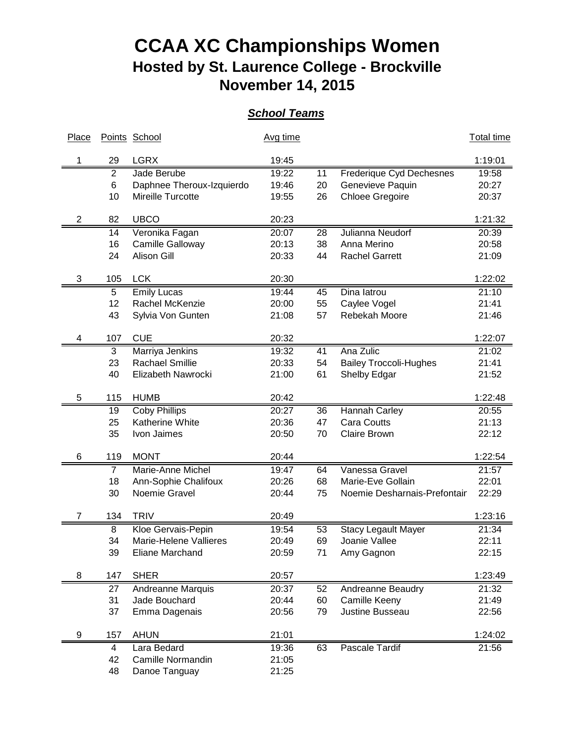## **CCAA XC Championships Women Hosted by St. Laurence College - Brockville November 14, 2015**

## *School Teams*

| Place          |                | Points School             | Avg time |    |                                            | <b>Total time</b> |
|----------------|----------------|---------------------------|----------|----|--------------------------------------------|-------------------|
|                | 29             | <b>LGRX</b>               | 19:45    |    |                                            | 1:19:01           |
|                | $\overline{2}$ | Jade Berube               | 19:22    | 11 | <b>Frederique Cyd Dechesnes</b>            | 19:58             |
|                | 6              | Daphnee Theroux-Izquierdo | 19:46    | 20 | Genevieve Paquin                           | 20:27             |
|                | 10             | Mireille Turcotte         | 19:55    | 26 | <b>Chloee Gregoire</b>                     | 20:37             |
| $\overline{c}$ | 82             | <b>UBCO</b>               | 20:23    |    |                                            | 1:21:32           |
|                | 14             | Veronika Fagan            | 20:07    | 28 | Julianna Neudorf                           | 20:39             |
|                | 16             | Camille Galloway          | 20:13    | 38 | Anna Merino                                | 20:58             |
|                | 24             | <b>Alison Gill</b>        | 20:33    | 44 | <b>Rachel Garrett</b>                      | 21:09             |
| 3              | 105            | <b>LCK</b>                | 20:30    |    |                                            | 1:22:02           |
|                | 5              | <b>Emily Lucas</b>        | 19:44    | 45 | Dina latrou                                | 21:10             |
|                | 12             | Rachel McKenzie           | 20:00    | 55 | Caylee Vogel                               | 21:41             |
|                | 43             | Sylvia Von Gunten         | 21:08    | 57 | Rebekah Moore                              | 21:46             |
| 4              | 107            | <b>CUE</b>                | 20:32    |    |                                            | 1:22:07           |
|                | 3              | Marriya Jenkins           | 19:32    | 41 | Ana Zulic                                  | 21:02             |
|                | 23             | <b>Rachael Smillie</b>    | 20:33    | 54 | <b>Bailey Troccoli-Hughes</b>              | 21:41             |
|                | 40             | Elizabeth Nawrocki        | 21:00    | 61 | Shelby Edgar                               | 21:52             |
| 5              | 115            | <b>HUMB</b>               | 20:42    |    |                                            | 1:22:48           |
|                |                | <b>Coby Phillips</b>      | 20:27    |    |                                            | 20:55             |
|                | 19             | Katherine White           |          | 36 | <b>Hannah Carley</b><br><b>Cara Coutts</b> |                   |
|                | 25             |                           | 20:36    | 47 |                                            | 21:13             |
|                | 35             | Ivon Jaimes               | 20:50    | 70 | <b>Claire Brown</b>                        | 22:12             |
| 6              | 119            | <b>MONT</b>               | 20:44    |    |                                            | 1:22:54           |
|                | $\overline{7}$ | Marie-Anne Michel         | 19:47    | 64 | Vanessa Gravel                             | 21:57             |
|                | 18             | Ann-Sophie Chalifoux      | 20:26    | 68 | Marie-Eve Gollain                          | 22:01             |
|                | 30             | Noemie Gravel             | 20:44    | 75 | Noemie Desharnais-Prefontair               | 22:29             |
| 7              | 134            | <b>TRIV</b>               | 20:49    |    |                                            | 1:23:16           |
|                | 8              | Kloe Gervais-Pepin        | 19:54    | 53 | <b>Stacy Legault Mayer</b>                 | 21:34             |
|                | 34             | Marie-Helene Vallieres    | 20:49    | 69 | Joanie Vallee                              | 22:11             |
|                | 39             | Eliane Marchand           | 20:59    | 71 | Amy Gagnon                                 | 22:15             |
| 8              | 147            | <b>SHER</b>               | 20:57    |    |                                            | 1:23:49           |
|                | 27             | Andreanne Marquis         | 20:37    | 52 | Andreanne Beaudry                          | 21:32             |
|                | 31             | Jade Bouchard             | 20:44    | 60 | Camille Keeny                              | 21:49             |
|                | 37             | Emma Dagenais             | 20:56    | 79 | Justine Busseau                            | 22:56             |
| 9              | 157            | <b>AHUN</b>               | 21:01    |    |                                            | 1:24:02           |
|                | 4              | Lara Bedard               | 19:36    | 63 | Pascale Tardif                             | 21:56             |
|                | 42             | Camille Normandin         | 21:05    |    |                                            |                   |
|                | 48             | Danoe Tanguay             | 21:25    |    |                                            |                   |
|                |                |                           |          |    |                                            |                   |